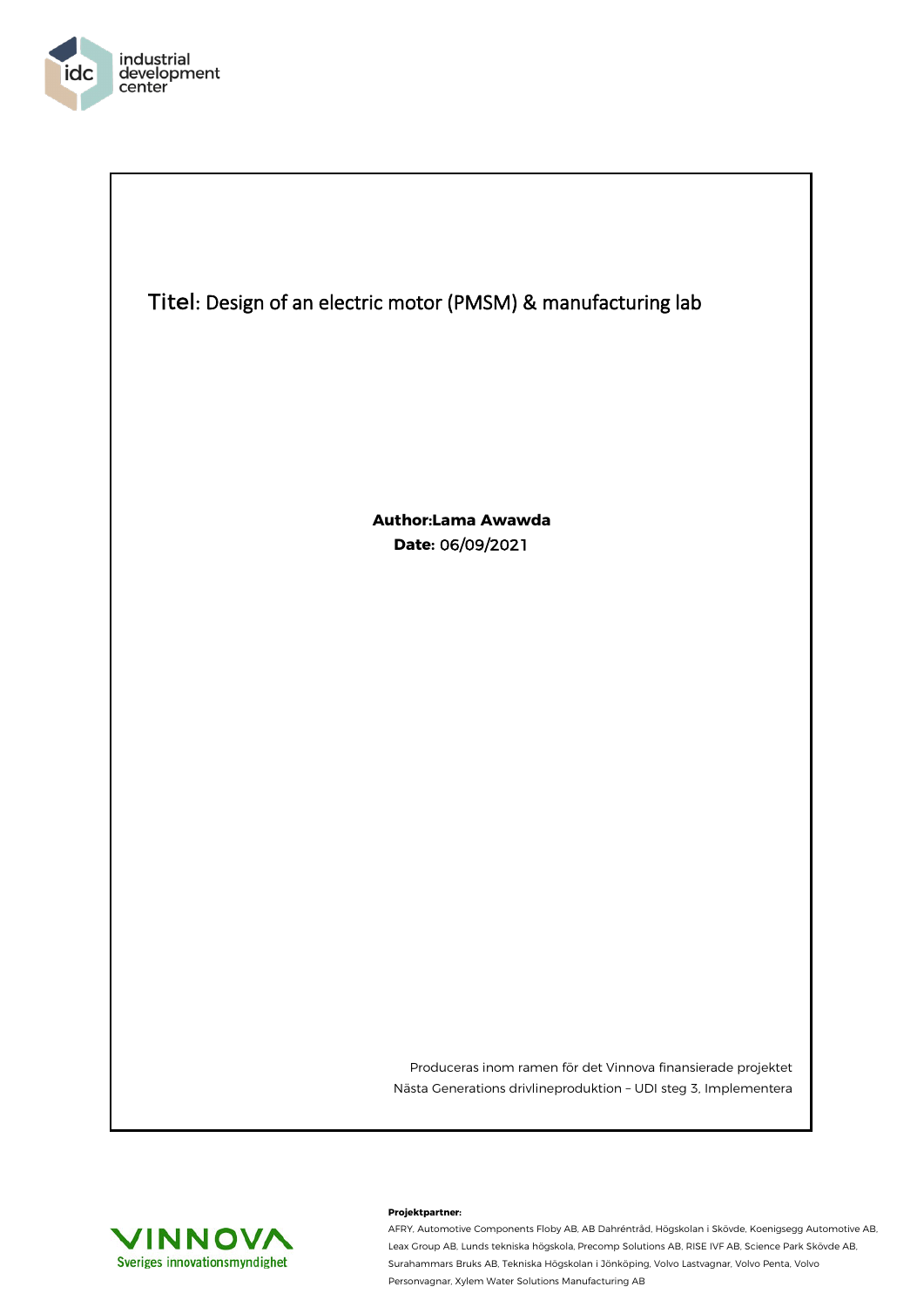

 $\overline{\phantom{a}}$ 



**Author:Lama Awawda Date:** 06/09/2021

> Produceras inom ramen för det Vinnova finansierade projektet Nästa Generations drivlineproduktion – UDI steg 3, Implementera



## **Projektpartner:**

AFRY, Automotive Components Floby AB, AB Dahréntråd, Högskolan i Skövde, Koenigsegg Automotive AB, Leax Group AB, Lunds tekniska högskola, Precomp Solutions AB, RISE IVF AB, Science Park Skövde AB, Surahammars Bruks AB, Tekniska Högskolan i Jönköping, Volvo Lastvagnar, Volvo Penta, Volvo Personvagnar, Xylem Water Solutions Manufacturing AB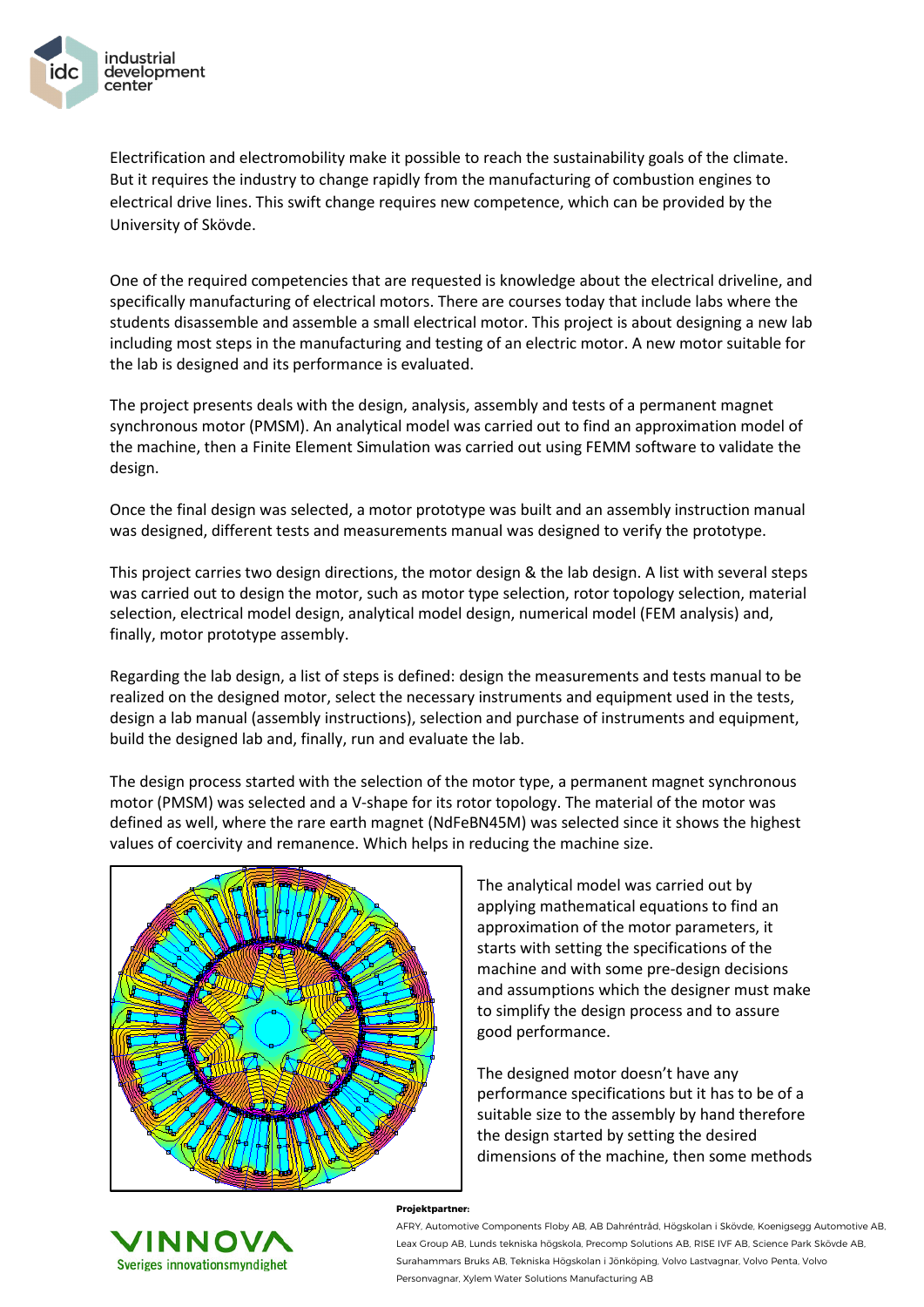

Electrification and electromobility make it possible to reach the sustainability goals of the climate. But it requires the industry to change rapidly from the manufacturing of combustion engines to electrical drive lines. This swift change requires new competence, which can be provided by the University of Skövde.

One of the required competencies that are requested is knowledge about the electrical driveline, and specifically manufacturing of electrical motors. There are courses today that include labs where the students disassemble and assemble a small electrical motor. This project is about designing a new lab including most steps in the manufacturing and testing of an electric motor. A new motor suitable for the lab is designed and its performance is evaluated.

The project presents deals with the design, analysis, assembly and tests of a permanent magnet synchronous motor (PMSM). An analytical model was carried out to find an approximation model of the machine, then a Finite Element Simulation was carried out using FEMM software to validate the design.

Once the final design was selected, a motor prototype was built and an assembly instruction manual was designed, different tests and measurements manual was designed to verify the prototype.

This project carries two design directions, the motor design & the lab design. A list with several steps was carried out to design the motor, such as motor type selection, rotor topology selection, material selection, electrical model design, analytical model design, numerical model (FEM analysis) and, finally, motor prototype assembly.

Regarding the lab design, a list of steps is defined: design the measurements and tests manual to be realized on the designed motor, select the necessary instruments and equipment used in the tests, design a lab manual (assembly instructions), selection and purchase of instruments and equipment, build the designed lab and, finally, run and evaluate the lab.

The design process started with the selection of the motor type, a permanent magnet synchronous motor (PMSM) was selected and a V-shape for its rotor topology. The material of the motor was defined as well, where the rare earth magnet (NdFeBN45M) was selected since it shows the highest values of coercivity and remanence. Which helps in reducing the machine size.



The analytical model was carried out by applying mathematical equations to find an approximation of the motor parameters, it starts with setting the specifications of the machine and with some pre-design decisions and assumptions which the designer must make to simplify the design process and to assure good performance.

The designed motor doesn't have any performance specifications but it has to be of a suitable size to the assembly by hand therefore the design started by setting the desired dimensions of the machine, then some methods



## **Projektpartner:**

AFRY, Automotive Components Floby AB, AB Dahréntråd, Högskolan i Skövde, Koenigsegg Automotive AB, Leax Group AB, Lunds tekniska högskola, Precomp Solutions AB, RISE IVF AB, Science Park Skövde AB, Surahammars Bruks AB, Tekniska Högskolan i Jönköping, Volvo Lastvagnar, Volvo Penta, Volvo Personvagnar, Xylem Water Solutions Manufacturing AB